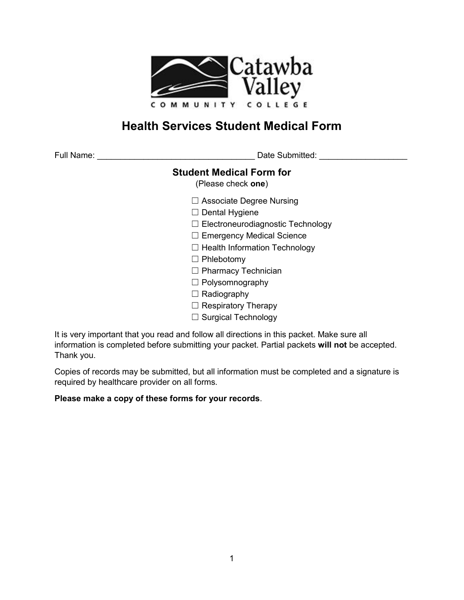

# **Health Services Student Medical Form**

Date Submitted: **We are Submitted**:

### **Student Medical Form for**

(Please check **one**)

- ☐ Associate Degree Nursing
- ☐ Dental Hygiene
- ☐ Electroneurodiagnostic Technology
- ☐ Emergency Medical Science
- ☐ Health Information Technology
- ☐ Phlebotomy
- ☐ Pharmacy Technician
- ☐ Polysomnography
- □ Radiography
- ☐ Respiratory Therapy
- ☐ Surgical Technology

It is very important that you read and follow all directions in this packet. Make sure all information is completed before submitting your packet. Partial packets **will not** be accepted. Thank you.

Copies of records may be submitted, but all information must be completed and a signature is required by healthcare provider on all forms.

#### **Please make a copy of these forms for your records**.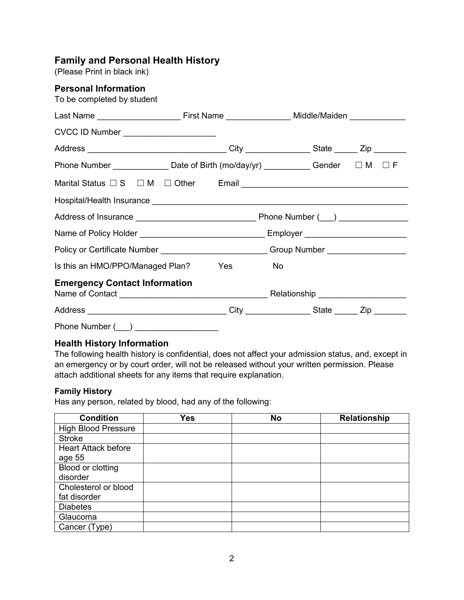### **Family and Personal Health History**

(Please Print in black ink)

| <b>Personal Information</b><br>To be completed by student                                |  |    |  |  |
|------------------------------------------------------------------------------------------|--|----|--|--|
|                                                                                          |  |    |  |  |
| CVCC ID Number _____________________                                                     |  |    |  |  |
| Address __________________________________City ________________State _______Zip ________ |  |    |  |  |
| Phone Number ________________ Date of Birth (mo/day/yr) ____________ Gender   □ M  □ F   |  |    |  |  |
|                                                                                          |  |    |  |  |
|                                                                                          |  |    |  |  |
|                                                                                          |  |    |  |  |
|                                                                                          |  |    |  |  |
| Policy or Certificate Number ____________________________Group Number ___________        |  |    |  |  |
| Is this an HMO/PPO/Managed Plan? Yes                                                     |  | No |  |  |
| <b>Emergency Contact Information</b>                                                     |  |    |  |  |
| Address __________________________________City ________________State _______Zip ________ |  |    |  |  |
| Phone Number (___) _______________________                                               |  |    |  |  |

#### **Health History Information**

The following health history is confidential, does not affect your admission status, and, except in an emergency or by court order, will not be released without your written permission. Please attach additional sheets for any items that require explanation.

#### **Family History**

Has any person, related by blood, had any of the following:

| <b>Condition</b>           | <b>Yes</b> | <b>No</b> | <b>Relationship</b> |
|----------------------------|------------|-----------|---------------------|
| <b>High Blood Pressure</b> |            |           |                     |
| <b>Stroke</b>              |            |           |                     |
| <b>Heart Attack before</b> |            |           |                     |
| age 55                     |            |           |                     |
| Blood or clotting          |            |           |                     |
| disorder                   |            |           |                     |
| Cholesterol or blood       |            |           |                     |
| fat disorder               |            |           |                     |
| <b>Diabetes</b>            |            |           |                     |
| Glaucoma                   |            |           |                     |
| Cancer (Type)              |            |           |                     |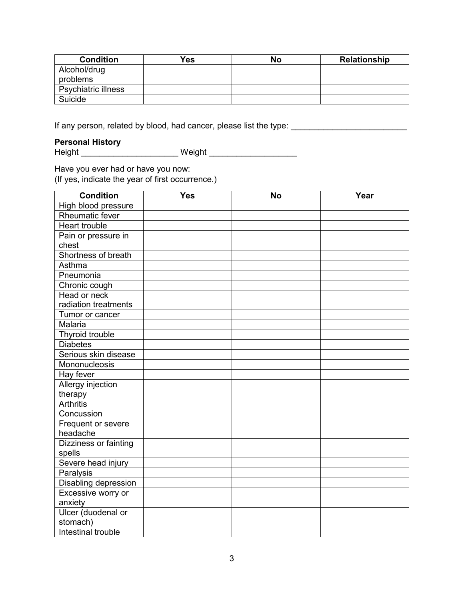| <b>Condition</b>           | <b>Yes</b> | No | <b>Relationship</b> |
|----------------------------|------------|----|---------------------|
| Alcohol/drug               |            |    |                     |
| problems                   |            |    |                     |
| <b>Psychiatric illness</b> |            |    |                     |
| Suicide                    |            |    |                     |

If any person, related by blood, had cancer, please list the type: \_\_\_\_\_\_\_\_\_\_\_\_\_\_\_\_\_\_\_\_\_\_\_\_\_

### **Personal History**

- crsona: ..........<br>Height \_\_\_\_\_\_\_\_\_\_\_\_\_\_\_\_\_\_\_\_\_\_\_\_\_\_\_ Weight \_\_\_\_\_\_\_\_\_\_\_\_\_\_\_\_\_\_

Have you ever had or have you now:

(If yes, indicate the year of first occurrence.)

| <b>Condition</b>         | <b>Yes</b> | <b>No</b> | Year |
|--------------------------|------------|-----------|------|
| High blood pressure      |            |           |      |
| <b>Rheumatic fever</b>   |            |           |      |
| <b>Heart trouble</b>     |            |           |      |
| Pain or pressure in      |            |           |      |
| chest                    |            |           |      |
| Shortness of breath      |            |           |      |
| Asthma                   |            |           |      |
| Pneumonia                |            |           |      |
| Chronic cough            |            |           |      |
| Head or neck             |            |           |      |
| radiation treatments     |            |           |      |
| Tumor or cancer          |            |           |      |
| Malaria                  |            |           |      |
| Thyroid trouble          |            |           |      |
| <b>Diabetes</b>          |            |           |      |
| Serious skin disease     |            |           |      |
| Mononucleosis            |            |           |      |
| Hay fever                |            |           |      |
| <b>Allergy injection</b> |            |           |      |
| therapy                  |            |           |      |
| <b>Arthritis</b>         |            |           |      |
| Concussion               |            |           |      |
| Frequent or severe       |            |           |      |
| headache                 |            |           |      |
| Dizziness or fainting    |            |           |      |
| spells                   |            |           |      |
| Severe head injury       |            |           |      |
| Paralysis                |            |           |      |
| Disabling depression     |            |           |      |
| Excessive worry or       |            |           |      |
| anxiety                  |            |           |      |
| Ulcer (duodenal or       |            |           |      |
| stomach)                 |            |           |      |
| Intestinal trouble       |            |           |      |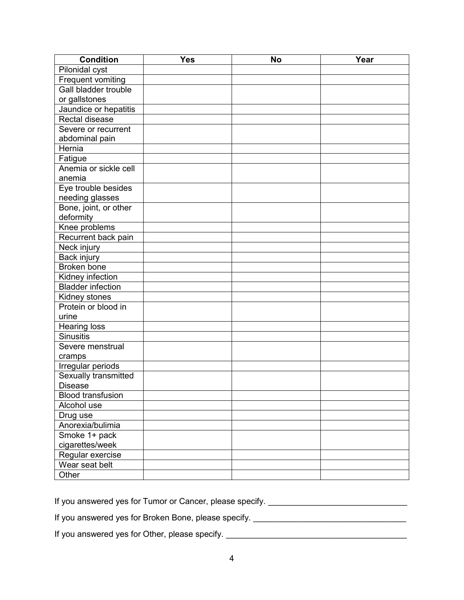| <b>Condition</b>            | <b>Yes</b> | <b>No</b> | Year |
|-----------------------------|------------|-----------|------|
| Pilonidal cyst              |            |           |      |
| Frequent vomiting           |            |           |      |
| <b>Gall bladder trouble</b> |            |           |      |
| or gallstones               |            |           |      |
| Jaundice or hepatitis       |            |           |      |
| Rectal disease              |            |           |      |
| Severe or recurrent         |            |           |      |
| abdominal pain              |            |           |      |
| Hernia                      |            |           |      |
| Fatigue                     |            |           |      |
| Anemia or sickle cell       |            |           |      |
| anemia                      |            |           |      |
| Eye trouble besides         |            |           |      |
| needing glasses             |            |           |      |
| Bone, joint, or other       |            |           |      |
| deformity                   |            |           |      |
| Knee problems               |            |           |      |
| Recurrent back pain         |            |           |      |
| Neck injury                 |            |           |      |
| Back injury                 |            |           |      |
| Broken bone                 |            |           |      |
| Kidney infection            |            |           |      |
| <b>Bladder infection</b>    |            |           |      |
| <b>Kidney stones</b>        |            |           |      |
| Protein or blood in         |            |           |      |
| urine                       |            |           |      |
| <b>Hearing loss</b>         |            |           |      |
| <b>Sinusitis</b>            |            |           |      |
| Severe menstrual            |            |           |      |
| cramps                      |            |           |      |
| Irregular periods           |            |           |      |
| Sexually transmitted        |            |           |      |
| <b>Disease</b>              |            |           |      |
| <b>Blood transfusion</b>    |            |           |      |
| Alcohol use                 |            |           |      |
| Drug use                    |            |           |      |
| Anorexia/bulimia            |            |           |      |
| Smoke 1+ pack               |            |           |      |
| cigarettes/week             |            |           |      |
| Regular exercise            |            |           |      |
| Wear seat belt              |            |           |      |
| Other                       |            |           |      |

If you answered yes for Tumor or Cancer, please specify. \_\_\_\_\_\_\_\_\_\_\_\_\_\_\_\_\_\_\_\_\_\_\_\_

If you answered yes for Broken Bone, please specify. \_\_\_\_\_\_\_\_\_\_\_\_\_\_\_\_\_\_\_\_\_\_\_\_\_\_\_\_

If you answered yes for Other, please specify. \_\_\_\_\_\_\_\_\_\_\_\_\_\_\_\_\_\_\_\_\_\_\_\_\_\_\_\_\_\_\_\_\_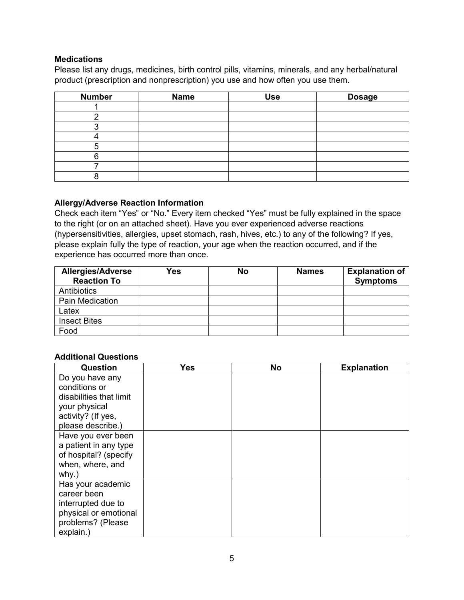#### **Medications**

Please list any drugs, medicines, birth control pills, vitamins, minerals, and any herbal/natural product (prescription and nonprescription) you use and how often you use them.

| <b>Number</b> | <b>Name</b> | <b>Use</b> | <b>Dosage</b> |
|---------------|-------------|------------|---------------|
|               |             |            |               |
|               |             |            |               |
|               |             |            |               |
|               |             |            |               |
|               |             |            |               |
|               |             |            |               |
|               |             |            |               |
|               |             |            |               |

#### **Allergy/Adverse Reaction Information**

Check each item "Yes" or "No." Every item checked "Yes" must be fully explained in the space to the right (or on an attached sheet). Have you ever experienced adverse reactions (hypersensitivities, allergies, upset stomach, rash, hives, etc.) to any of the following? If yes, please explain fully the type of reaction, your age when the reaction occurred, and if the experience has occurred more than once.

| <b>Allergies/Adverse</b><br><b>Reaction To</b> | Yes | <b>No</b> | <b>Names</b> | <b>Explanation of</b><br><b>Symptoms</b> |
|------------------------------------------------|-----|-----------|--------------|------------------------------------------|
| Antibiotics                                    |     |           |              |                                          |
| <b>Pain Medication</b>                         |     |           |              |                                          |
| Latex                                          |     |           |              |                                          |
| <b>Insect Bites</b>                            |     |           |              |                                          |
| Food                                           |     |           |              |                                          |

#### **Additional Questions**

| <b>Question</b>         | <b>Yes</b> | <b>No</b> | <b>Explanation</b> |
|-------------------------|------------|-----------|--------------------|
| Do you have any         |            |           |                    |
| conditions or           |            |           |                    |
| disabilities that limit |            |           |                    |
| your physical           |            |           |                    |
| activity? (If yes,      |            |           |                    |
| please describe.)       |            |           |                    |
| Have you ever been      |            |           |                    |
| a patient in any type   |            |           |                    |
| of hospital? (specify   |            |           |                    |
| when, where, and        |            |           |                    |
| why.)                   |            |           |                    |
| Has your academic       |            |           |                    |
| career been             |            |           |                    |
| interrupted due to      |            |           |                    |
| physical or emotional   |            |           |                    |
| problems? (Please       |            |           |                    |
| explain.)               |            |           |                    |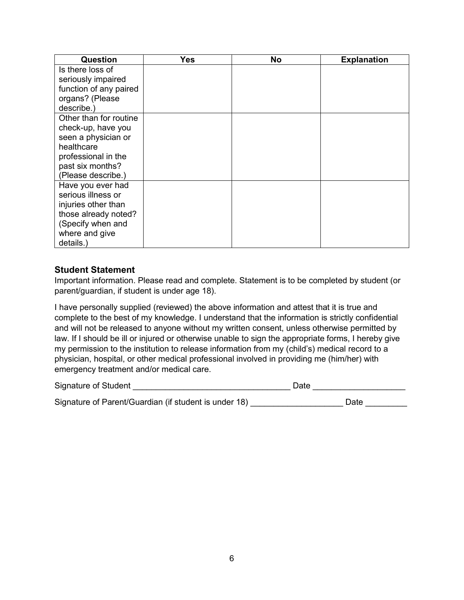| Question               | Yes | <b>No</b> | <b>Explanation</b> |
|------------------------|-----|-----------|--------------------|
| Is there loss of       |     |           |                    |
| seriously impaired     |     |           |                    |
| function of any paired |     |           |                    |
| organs? (Please        |     |           |                    |
| describe.)             |     |           |                    |
| Other than for routine |     |           |                    |
| check-up, have you     |     |           |                    |
| seen a physician or    |     |           |                    |
| healthcare             |     |           |                    |
| professional in the    |     |           |                    |
| past six months?       |     |           |                    |
| (Please describe.)     |     |           |                    |
| Have you ever had      |     |           |                    |
| serious illness or     |     |           |                    |
| injuries other than    |     |           |                    |
| those already noted?   |     |           |                    |
| (Specify when and      |     |           |                    |
| where and give         |     |           |                    |
| details.)              |     |           |                    |

#### **Student Statement**

Important information. Please read and complete. Statement is to be completed by student (or parent/guardian, if student is under age 18).

I have personally supplied (reviewed) the above information and attest that it is true and complete to the best of my knowledge. I understand that the information is strictly confidential and will not be released to anyone without my written consent, unless otherwise permitted by law. If I should be ill or injured or otherwise unable to sign the appropriate forms, I hereby give my permission to the institution to release information from my (child's) medical record to a physician, hospital, or other medical professional involved in providing me (him/her) with emergency treatment and/or medical care.

| Signature of Student                                  | Date |
|-------------------------------------------------------|------|
| Signature of Parent/Guardian (if student is under 18) | Date |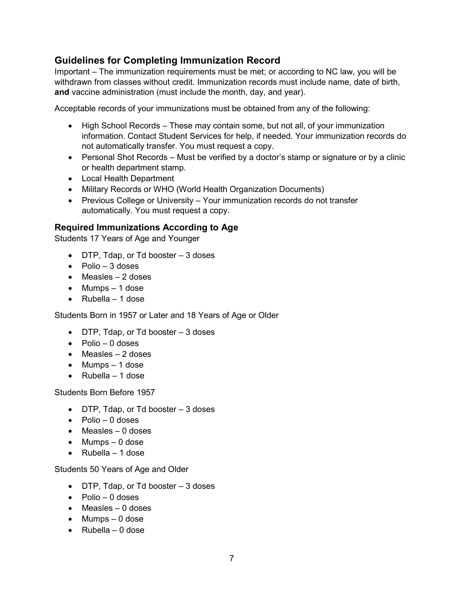### **Guidelines for Completing Immunization Record**

Important – The immunization requirements must be met; or according to NC law, you will be withdrawn from classes without credit. Immunization records must include name, date of birth, **and** vaccine administration (must include the month, day, and year).

Acceptable records of your immunizations must be obtained from any of the following:

- High School Records These may contain some, but not all, of your immunization information. Contact Student Services for help, if needed. Your immunization records do not automatically transfer. You must request a copy.
- Personal Shot Records Must be verified by a doctor's stamp or signature or by a clinic or health department stamp.
- Local Health Department
- Military Records or WHO (World Health Organization Documents)
- Previous College or University Your immunization records do not transfer automatically. You must request a copy.

#### **Required Immunizations According to Age**

Students 17 Years of Age and Younger

- DTP, Tdap, or Td booster 3 doses
- $\bullet$  Polio 3 doses
- $\bullet$  Measles  $-2$  doses
- $\bullet$  Mumps 1 dose
- Rubella 1 dose

Students Born in 1957 or Later and 18 Years of Age or Older

- DTP, Tdap, or Td booster 3 doses
- $\bullet$  Polio 0 doses
- $\bullet$  Measles  $-2$  doses
- $\bullet$  Mumps  $-1$  dose
- Rubella 1 dose

Students Born Before 1957

- $\bullet$  DTP, Tdap, or Td booster  $-3$  doses
- $\bullet$  Polio 0 doses
- $\bullet$  Measles 0 doses
- Mumps 0 dose
- Rubella 1 dose

Students 50 Years of Age and Older

- DTP, Tdap, or Td booster 3 doses
- $\bullet$  Polio 0 doses
- Measles 0 doses
- Mumps 0 dose
- $\bullet$  Rubella 0 dose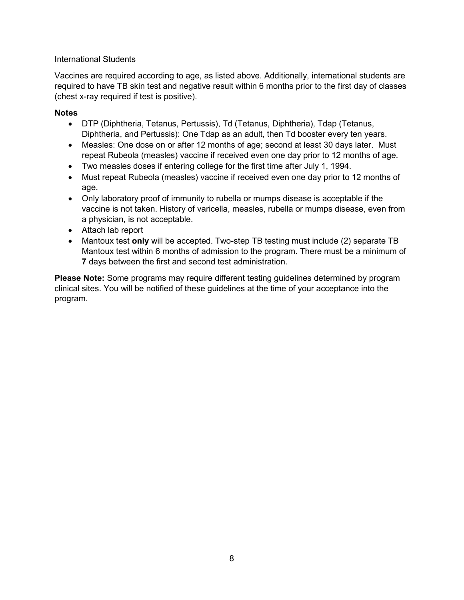#### International Students

Vaccines are required according to age, as listed above. Additionally, international students are required to have TB skin test and negative result within 6 months prior to the first day of classes (chest x-ray required if test is positive).

#### **Notes**

- DTP (Diphtheria, Tetanus, Pertussis), Td (Tetanus, Diphtheria), Tdap (Tetanus, Diphtheria, and Pertussis): One Tdap as an adult, then Td booster every ten years.
- Measles: One dose on or after 12 months of age; second at least 30 days later. Must repeat Rubeola (measles) vaccine if received even one day prior to 12 months of age.
- Two measles doses if entering college for the first time after July 1, 1994.
- Must repeat Rubeola (measles) vaccine if received even one day prior to 12 months of age.
- Only laboratory proof of immunity to rubella or mumps disease is acceptable if the vaccine is not taken. History of varicella, measles, rubella or mumps disease, even from a physician, is not acceptable.
- Attach lab report
- Mantoux test **only** will be accepted. Two-step TB testing must include (2) separate TB Mantoux test within 6 months of admission to the program. There must be a minimum of **7** days between the first and second test administration.

**Please Note:** Some programs may require different testing guidelines determined by program clinical sites. You will be notified of these guidelines at the time of your acceptance into the program.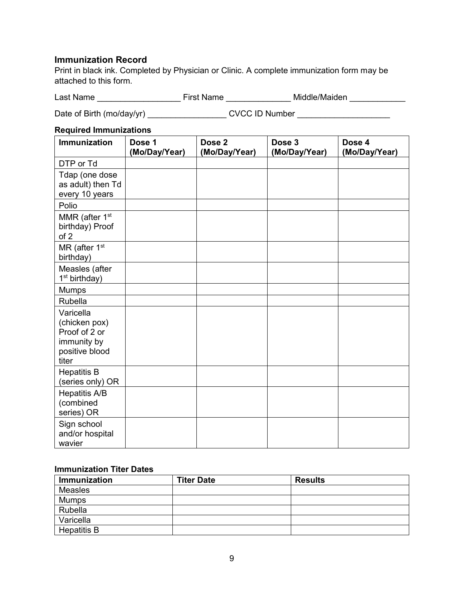#### **Immunization Record**

Print in black ink. Completed by Physician or Clinic. A complete immunization form may be attached to this form.

Last Name \_\_\_\_\_\_\_\_\_\_\_\_\_\_\_\_\_\_ First Name \_\_\_\_\_\_\_\_\_\_\_\_\_\_ Middle/Maiden \_\_\_\_\_\_\_\_\_\_\_\_

Date of Birth (mo/day/yr) \_\_\_\_\_\_\_\_\_\_\_\_\_\_\_\_\_\_\_\_\_\_\_CVCC ID Number \_\_\_\_\_\_\_\_\_\_\_\_\_\_\_\_

#### **Required Immunizations**

| Immunization                                                                          | Dose 1<br>(Mo/Day/Year) | Dose <sub>2</sub><br>(Mo/Day/Year) | Dose 3<br>(Mo/Day/Year) | Dose 4<br>(Mo/Day/Year) |
|---------------------------------------------------------------------------------------|-------------------------|------------------------------------|-------------------------|-------------------------|
| DTP or Td                                                                             |                         |                                    |                         |                         |
| Tdap (one dose<br>as adult) then Td<br>every 10 years                                 |                         |                                    |                         |                         |
| Polio                                                                                 |                         |                                    |                         |                         |
| MMR (after 1 <sup>st</sup><br>birthday) Proof<br>of 2                                 |                         |                                    |                         |                         |
| MR (after 1 <sup>st</sup><br>birthday)                                                |                         |                                    |                         |                         |
| Measles (after<br>1 <sup>st</sup> birthday)                                           |                         |                                    |                         |                         |
| <b>Mumps</b>                                                                          |                         |                                    |                         |                         |
| Rubella                                                                               |                         |                                    |                         |                         |
| Varicella<br>(chicken pox)<br>Proof of 2 or<br>immunity by<br>positive blood<br>titer |                         |                                    |                         |                         |
| <b>Hepatitis B</b><br>(series only) OR                                                |                         |                                    |                         |                         |
| <b>Hepatitis A/B</b><br>(combined<br>series) OR                                       |                         |                                    |                         |                         |
| Sign school<br>and/or hospital<br>wavier                                              |                         |                                    |                         |                         |

#### **Immunization Titer Dates**

| Immunization       | <b>Titer Date</b> | <b>Results</b> |
|--------------------|-------------------|----------------|
| Measles            |                   |                |
| Mumps              |                   |                |
| Rubella            |                   |                |
| Varicella          |                   |                |
| <b>Hepatitis B</b> |                   |                |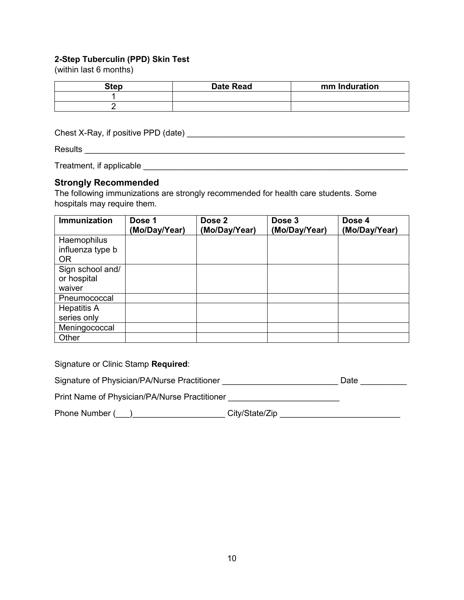#### **2-Step Tuberculin (PPD) Skin Test**

(within last 6 months)

| Step | <b>Date Read</b> | mm Induration |
|------|------------------|---------------|
|      |                  |               |
|      |                  |               |

Chest X-Ray, if positive PPD (date) \_\_\_\_\_\_\_\_\_\_\_\_\_\_\_\_\_\_\_\_\_\_\_\_\_\_\_\_\_\_\_\_\_\_\_\_\_\_\_\_\_\_\_\_\_\_\_

Results \_\_\_\_\_\_\_\_\_\_\_\_\_\_\_\_\_\_\_\_\_\_\_\_\_\_\_\_\_\_\_\_\_\_\_\_\_\_\_\_\_\_\_\_\_\_\_\_\_\_\_\_\_\_\_\_\_\_\_\_\_\_\_\_\_\_\_\_\_

Treatment, if applicable \_\_\_\_\_\_\_\_\_\_\_\_\_\_\_\_\_\_\_\_\_\_\_\_\_\_\_\_\_\_\_\_\_\_\_\_\_\_\_\_\_\_\_\_\_\_\_\_\_\_\_\_\_\_\_\_\_

#### **Strongly Recommended**

The following immunizations are strongly recommended for health care students. Some hospitals may require them.

| <b>Immunization</b>             | Dose 1<br>(Mo/Day/Year) | Dose 2<br>(Mo/Day/Year) | Dose 3<br>(Mo/Day/Year) | Dose 4<br>(Mo/Day/Year) |
|---------------------------------|-------------------------|-------------------------|-------------------------|-------------------------|
| Haemophilus<br>influenza type b |                         |                         |                         |                         |
| <b>OR</b>                       |                         |                         |                         |                         |
| Sign school and/                |                         |                         |                         |                         |
| or hospital                     |                         |                         |                         |                         |
| waiver                          |                         |                         |                         |                         |
| Pneumococcal                    |                         |                         |                         |                         |
| <b>Hepatitis A</b>              |                         |                         |                         |                         |
| series only                     |                         |                         |                         |                         |
| Meningococcal                   |                         |                         |                         |                         |
| Other                           |                         |                         |                         |                         |

| Signature or Clinic Stamp Required:           |                |      |
|-----------------------------------------------|----------------|------|
| Signature of Physician/PA/Nurse Practitioner  |                | Date |
| Print Name of Physician/PA/Nurse Practitioner |                |      |
| Phone Number (                                | City/State/Zip |      |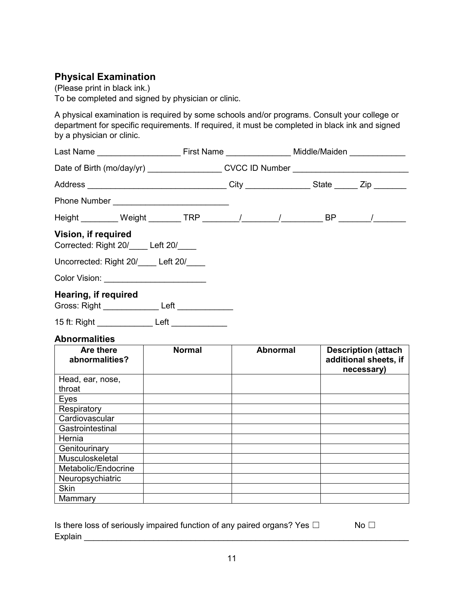## **Physical Examination**

(Please print in black ink.) To be completed and signed by physician or clinic.

A physical examination is required by some schools and/or programs. Consult your college or department for specific requirements. If required, it must be completed in black ink and signed by a physician or clinic.

| Date of Birth (mo/day/yr) ____________________CVCC ID Number ___________________       |               |  |                 |  |                                                                   |
|----------------------------------------------------------------------------------------|---------------|--|-----------------|--|-------------------------------------------------------------------|
|                                                                                        |               |  |                 |  |                                                                   |
|                                                                                        |               |  |                 |  |                                                                   |
| Height _________ Weight ________ TRP ________/ ________/ _________ BP _______/ _______ |               |  |                 |  |                                                                   |
| Vision, if required<br>Corrected: Right 20/ Left 20/                                   |               |  |                 |  |                                                                   |
| Uncorrected: Right 20/ Left 20/                                                        |               |  |                 |  |                                                                   |
| Color Vision: _________________________                                                |               |  |                 |  |                                                                   |
| Hearing, if required<br>Gross: Right __________________ Left _____________             |               |  |                 |  |                                                                   |
| 15 ft: Right Left                                                                      |               |  |                 |  |                                                                   |
| <b>Abnormalities</b>                                                                   |               |  |                 |  |                                                                   |
| Are there<br>abnormalities?                                                            | <b>Normal</b> |  | <b>Abnormal</b> |  | <b>Description (attach</b><br>additional sheets, if<br>necessary) |
| Head, ear, nose,<br>throat                                                             |               |  |                 |  |                                                                   |
| Eyes                                                                                   |               |  |                 |  |                                                                   |
| Respiratory                                                                            |               |  |                 |  |                                                                   |
| Cardiovascular                                                                         |               |  |                 |  |                                                                   |
| Gastrointestinal                                                                       |               |  |                 |  |                                                                   |
| Hernia                                                                                 |               |  |                 |  |                                                                   |
| Genitourinary<br>Musculoskeletal                                                       |               |  |                 |  |                                                                   |
| Metabolic/Endocrine                                                                    |               |  |                 |  |                                                                   |
| Neuropsychiatric                                                                       |               |  |                 |  |                                                                   |
| <b>Skin</b>                                                                            |               |  |                 |  |                                                                   |
| Mammary                                                                                |               |  |                 |  |                                                                   |

| Is there loss of seriously impaired function of any paired organs? Yes $\Box$ | No $\Box$ |
|-------------------------------------------------------------------------------|-----------|
| Explain                                                                       |           |